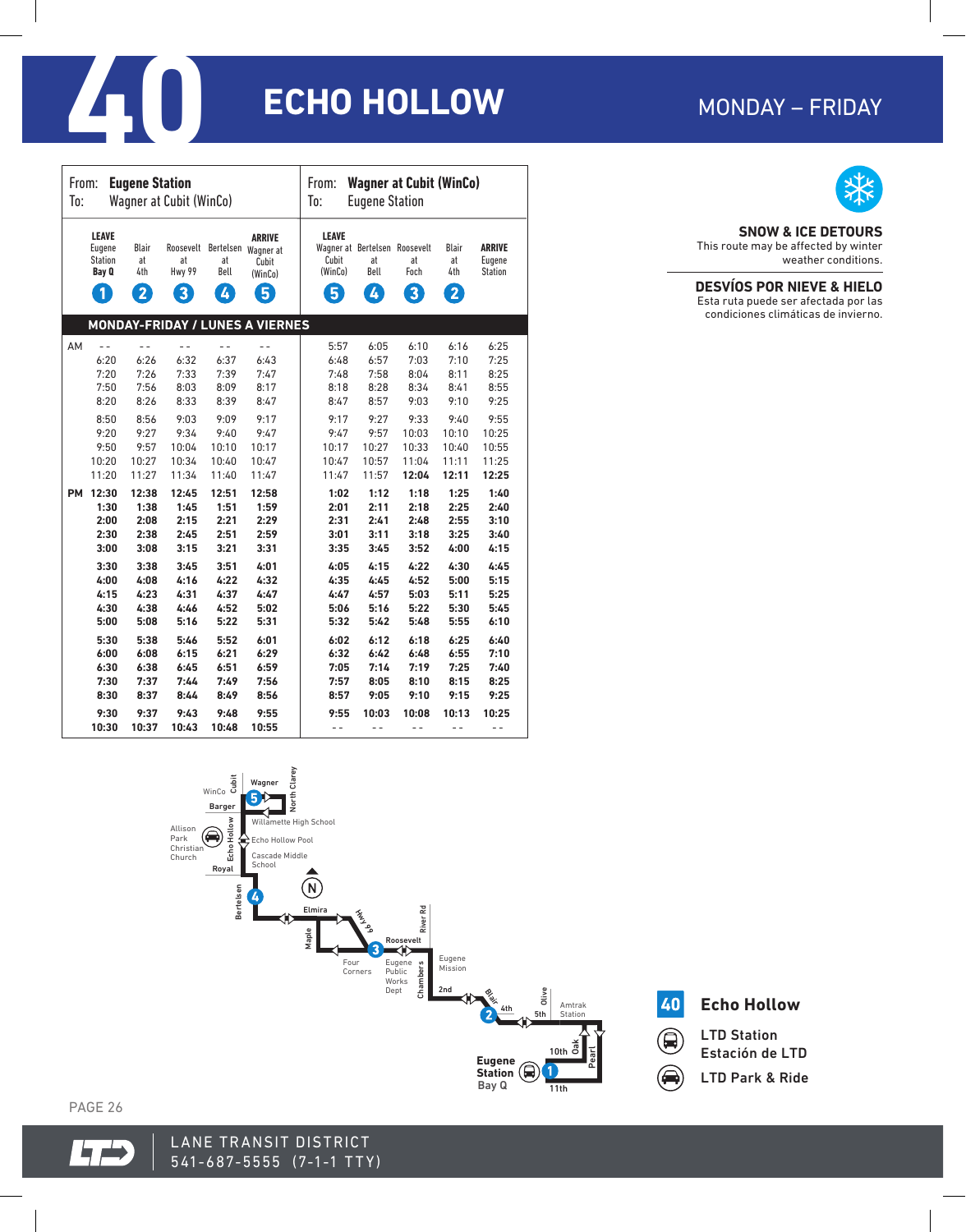| MONDAY – FRIDAY |
|-----------------|
|-----------------|

# **40 CHO HOLLOW** MONDAY – FRIDAY

| <b>Eugene Station</b>   |                                                                          |                                |                                |                 | <b>Wagner at Cubit (WinCo)</b>                                                                |                                       |                                                  |                              |                          |                                    |
|-------------------------|--------------------------------------------------------------------------|--------------------------------|--------------------------------|-----------------|-----------------------------------------------------------------------------------------------|---------------------------------------|--------------------------------------------------|------------------------------|--------------------------|------------------------------------|
| From:                   |                                                                          |                                |                                |                 | From:                                                                                         |                                       |                                                  |                              |                          |                                    |
| Wagner at Cubit (WinCo) |                                                                          |                                |                                |                 | To:                                                                                           |                                       |                                                  |                              |                          |                                    |
| To:                     |                                                                          |                                |                                |                 | <b>Eugene Station</b>                                                                         |                                       |                                                  |                              |                          |                                    |
|                         | <b>LEAVE</b><br>Eugene<br><b>Station</b><br>Bay Q<br>$\ddot{\textbf{0}}$ | Blair<br>at<br>4th<br>$\bf{2}$ | at<br>Hwy 99<br>$\overline{3}$ | at<br>Bell<br>4 | <b>ARRIVE</b><br>Roosevelt Bertelsen Wagner at<br>Cubit<br>(WinCo)<br>$\overline{\mathbf{5}}$ | <b>LEAVE</b><br>Cubit<br>(WinCo)<br>5 | Wagner at Bertelsen Roosevelt<br>at<br>Bell<br>4 | at<br>Foch<br>$\overline{3}$ | Blair<br>at<br>4th<br>2, | <b>ARRIVE</b><br>Eugene<br>Station |
|                         |                                                                          |                                |                                |                 | <b>MONDAY-FRIDAY / LUNES A VIERNES</b>                                                        |                                       |                                                  |                              |                          |                                    |
| AM                      | $-$                                                                      | $ -$                           | $-$                            | $-$             | $-$                                                                                           | 5:57                                  | 6:05                                             | 6:10                         | 6:16                     | 6:25                               |
|                         | 6:20                                                                     | 6:26                           | 6:32                           | 6:37            | 6:43                                                                                          | 6:48                                  | 6:57                                             | 7:03                         | 7:10                     | 7:25                               |
|                         | 7:20                                                                     | 7:26                           | 7:33                           | 7:39            | 7:47                                                                                          | 7:48                                  | 7:58                                             | 8:04                         | 8:11                     | 8:25                               |
|                         | 7:50                                                                     | 7:56                           | 8:03                           | 8:09            | 8:17                                                                                          | 8:18                                  | 8:28                                             | 8:34                         | 8:41                     | 8:55                               |
|                         | 8:20                                                                     | 8:26                           | 8:33                           | 8:39            | 8:47                                                                                          | 8:47                                  | 8:57                                             | 9:03                         | 9:10                     | 9:25                               |
|                         | 8:50                                                                     | 8:56                           | 9:03                           | 9:09            | 9:17                                                                                          | 9:17                                  | 9:27                                             | 9:33                         | 9:40                     | 9:55                               |
|                         | 9:20                                                                     | 9:27                           | 9:34                           | 9:40            | 9:47                                                                                          | 9:47                                  | 9:57                                             | 10:03                        | 10:10                    | 10:25                              |
|                         | 9:50                                                                     | 9:57                           | 10:04                          | 10:10           | 10:17                                                                                         | 10:17                                 | 10:27                                            | 10:33                        | 10:40                    | 10:55                              |
|                         | 10:20                                                                    | 10:27                          | 10:34                          | 10:40           | 10:47                                                                                         | 10:47                                 | 10:57                                            | 11:04                        | 11:11                    | 11:25                              |
|                         | 11:20                                                                    | 11:27                          | 11:34                          | 11:40           | 11:47                                                                                         | 11:47                                 | 11:57                                            | 12:04                        | 12:11                    | 12:25                              |
| <b>PM</b>               | 12:30                                                                    | 12:38                          | 12:45                          | 12:51           | 12:58                                                                                         | 1:02                                  | 1:12                                             | 1:18                         | 1:25                     | 1:40                               |
|                         | 1:30                                                                     | 1:38                           | 1:45                           | 1:51            | 1:59                                                                                          | 2:01                                  | 2:11                                             | 2:18                         | 2:25                     | 2:40                               |
|                         | 2:00                                                                     | 2:08                           | 2:15                           | 2:21            | 2:29                                                                                          | 2:31                                  | 2:41                                             | 2:48                         | 2:55                     | 3:10                               |
|                         | 2:30                                                                     | 2:38                           | 2:45                           | 2:51            | 2:59                                                                                          | 3:01                                  | 3:11                                             | 3:18                         | 3:25                     | 3:40                               |
|                         | 3:00                                                                     | 3:08                           | 3:15                           | 3:21            | 3:31                                                                                          | 3:35                                  | 3:45                                             | 3:52                         | 4:00                     | 4:15                               |
|                         | 3:30                                                                     | 3:38                           | 3:45                           | 3:51            | 4:01                                                                                          | 4:05                                  | 4:15                                             | 4:22                         | 4:30                     | 4:45                               |
|                         | 4:00                                                                     | 4:08                           | 4:16                           | 4:22            | 4:32                                                                                          | 4:35                                  | 4:45                                             | 4:52                         | 5:00                     | 5:15                               |
|                         | 4:15                                                                     | 4:23                           | 4:31                           | 4:37            | 4:47                                                                                          | 4:47                                  | 4:57                                             | 5:03                         | 5:11                     | 5:25                               |
|                         | 4:30                                                                     | 4:38                           | 4:46                           | 4:52            | 5:02                                                                                          | 5:06                                  | 5:16                                             | 5:22                         | 5:30                     | 5:45                               |
|                         | 5:00                                                                     | 5:08                           | 5:16                           | 5:22            | 5:31                                                                                          | 5:32                                  | 5:42                                             | 5:48                         | 5:55                     | 6:10                               |
|                         | 5:30                                                                     | 5:38                           | 5:46                           | 5:52            | 6:01                                                                                          | 6:02                                  | 6:12                                             | 6:18                         | 6:25                     | 6:40                               |
|                         | 6:00                                                                     | 6:08                           | 6:15                           | 6:21            | 6:29                                                                                          | 6:32                                  | 6:42                                             | 6:48                         | 6:55                     | 7:10                               |
|                         | 6:30                                                                     | 6:38                           | 6:45                           | 6:51            | 6:59                                                                                          | 7:05                                  | 7:14                                             | 7:19                         | 7:25                     | 7:40                               |
|                         | 7:30                                                                     | 7:37                           | 7:44                           | 7:49            | 7:56                                                                                          | 7:57                                  | 8:05                                             | 8:10                         | 8:15                     | 8:25                               |
|                         | 8:30                                                                     | 8:37                           | 8:44                           | 8:49            | 8:56                                                                                          | 8:57                                  | 9:05                                             | 9:10                         | 9:15                     | 9:25                               |
|                         | 9:30                                                                     | 9:37                           | 9:43                           | 9:48            | 9:55                                                                                          | 9:55                                  | 10:03                                            | 10:08                        | 10:13                    | 10:25                              |
|                         | 10:30                                                                    | 10:37                          | 10:43                          | 10:48           | 10:55                                                                                         | $ -$                                  | $ -$                                             | $ -$                         | $ -$                     | $ -$                               |





 $\qquad \qquad \qquad \qquad \quad \blacksquare$ 

LTD Station Estación de LTD LTD Park & Ride

PAGE 26





# **SNOW & ICE DETOURS**

This route may be affected by winter weather conditions.

# **DESVÍOS POR NIEVE & HIELO**

Esta ruta puede ser afectada por las condiciones climáticas de invierno.